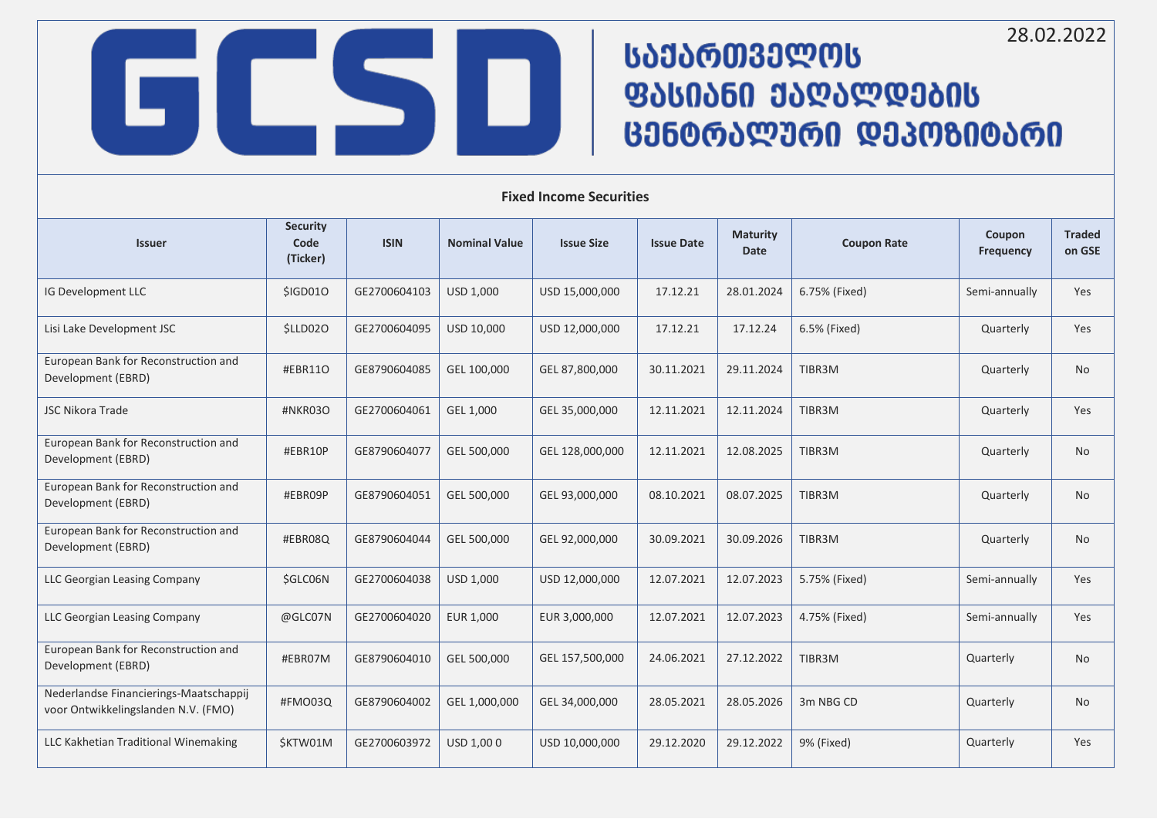28.02.2022

## **ᲡᲐᲔᲐᲠᲗᲕᲔᲚᲝᲡ** ᲤᲐᲡᲘᲐᲜᲘ ᲥᲐᲦᲐᲚᲓᲔᲑᲘᲡ ᲪᲔᲜᲢᲠᲐᲚᲣᲠᲘ ᲓᲔᲞᲝᲖᲘᲢᲐᲠᲘ

| <b>Issuer</b>                                                                 | <b>Security</b><br>Code<br>(Ticker) | <b>ISIN</b>  | <b>Nominal Value</b> | <b>Issue Size</b> | <b>Issue Date</b> | <b>Maturity</b><br><b>Date</b> | <b>Coupon Rate</b> | Coupon<br><b>Frequency</b> | <b>Traded</b><br>on GSE |
|-------------------------------------------------------------------------------|-------------------------------------|--------------|----------------------|-------------------|-------------------|--------------------------------|--------------------|----------------------------|-------------------------|
| IG Development LLC                                                            | \$IGD010                            | GE2700604103 | USD 1,000            | USD 15,000,000    | 17.12.21          | 28.01.2024                     | 6.75% (Fixed)      | Semi-annually              | Yes                     |
| Lisi Lake Development JSC                                                     | \$LLD02O                            | GE2700604095 | USD 10,000           | USD 12,000,000    | 17.12.21          | 17.12.24                       | 6.5% (Fixed)       | Quarterly                  | Yes                     |
| European Bank for Reconstruction and<br>Development (EBRD)                    | #EBR11O                             | GE8790604085 | GEL 100,000          | GEL 87,800,000    | 30.11.2021        | 29.11.2024                     | TIBR3M             | Quarterly                  | No                      |
| <b>JSC Nikora Trade</b>                                                       | #NKR03O                             | GE2700604061 | GEL 1,000            | GEL 35,000,000    | 12.11.2021        | 12.11.2024                     | TIBR3M             | Quarterly                  | Yes                     |
| European Bank for Reconstruction and<br>Development (EBRD)                    | #EBR10P                             | GE8790604077 | GEL 500,000          | GEL 128,000,000   | 12.11.2021        | 12.08.2025                     | TIBR3M             | Quarterly                  | <b>No</b>               |
| European Bank for Reconstruction and<br>Development (EBRD)                    | #EBR09P                             | GE8790604051 | GEL 500,000          | GEL 93,000,000    | 08.10.2021        | 08.07.2025                     | TIBR3M             | Quarterly                  | <b>No</b>               |
| European Bank for Reconstruction and<br>Development (EBRD)                    | #EBR08Q                             | GE8790604044 | GEL 500,000          | GEL 92,000,000    | 30.09.2021        | 30.09.2026                     | TIBR3M             | Quarterly                  | <b>No</b>               |
| LLC Georgian Leasing Company                                                  | \$GLC06N                            | GE2700604038 | USD 1,000            | USD 12,000,000    | 12.07.2021        | 12.07.2023                     | 5.75% (Fixed)      | Semi-annually              | Yes                     |
| LLC Georgian Leasing Company                                                  | @GLC07N                             | GE2700604020 | EUR 1,000            | EUR 3,000,000     | 12.07.2021        | 12.07.2023                     | 4.75% (Fixed)      | Semi-annually              | Yes                     |
| European Bank for Reconstruction and<br>Development (EBRD)                    | #EBR07M                             | GE8790604010 | GEL 500,000          | GEL 157,500,000   | 24.06.2021        | 27.12.2022                     | TIBR3M             | Quarterly                  | <b>No</b>               |
| Nederlandse Financierings-Maatschappij<br>voor Ontwikkelingslanden N.V. (FMO) | #FMO03Q                             | GE8790604002 | GEL 1,000,000        | GEL 34,000,000    | 28.05.2021        | 28.05.2026                     | 3m NBG CD          | Quarterly                  | No                      |
| LLC Kakhetian Traditional Winemaking                                          | \$KTW01M                            | GE2700603972 | USD 1,000            | USD 10,000,000    | 29.12.2020        | 29.12.2022                     | 9% (Fixed)         | Quarterly                  | Yes                     |

**Fixed Income Securities**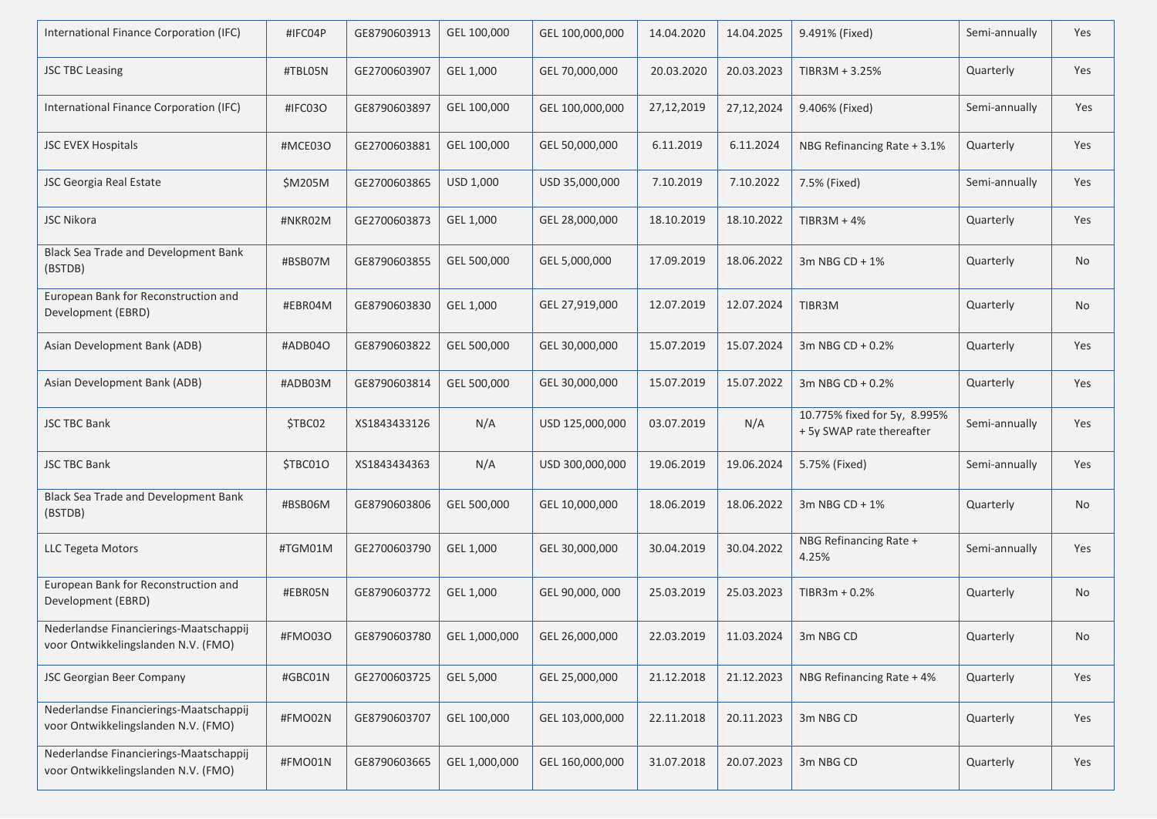| International Finance Corporation (IFC)                                       | #IFC04P  | GE8790603913 | GEL 100,000   | GEL 100,000,000 | 14.04.2020 | 14.04.2025   | 9.491% (Fixed)                                            | Semi-annually | Yes |
|-------------------------------------------------------------------------------|----------|--------------|---------------|-----------------|------------|--------------|-----------------------------------------------------------|---------------|-----|
| <b>JSC TBC Leasing</b>                                                        | #TBL05N  | GE2700603907 | GEL 1,000     | GEL 70,000,000  | 20.03.2020 | 20.03.2023   | TIBR3M + 3.25%                                            | Quarterly     | Yes |
| International Finance Corporation (IFC)                                       | #IFC03O  | GE8790603897 | GEL 100,000   | GEL 100,000,000 | 27,12,2019 | 27, 12, 2024 | 9.406% (Fixed)                                            | Semi-annually | Yes |
| <b>JSC EVEX Hospitals</b>                                                     | #MCE03O  | GE2700603881 | GEL 100,000   | GEL 50,000,000  | 6.11.2019  | 6.11.2024    | NBG Refinancing Rate + 3.1%                               | Quarterly     | Yes |
| <b>JSC Georgia Real Estate</b>                                                | \$M205M  | GE2700603865 | USD 1,000     | USD 35,000,000  | 7.10.2019  | 7.10.2022    | 7.5% (Fixed)                                              | Semi-annually | Yes |
| <b>JSC Nikora</b>                                                             | #NKR02M  | GE2700603873 | GEL 1,000     | GEL 28,000,000  | 18.10.2019 | 18.10.2022   | $TIBR3M + 4%$                                             | Quarterly     | Yes |
| Black Sea Trade and Development Bank<br>(BSTDB)                               | #BSB07M  | GE8790603855 | GEL 500,000   | GEL 5,000,000   | 17.09.2019 | 18.06.2022   | 3m NBG $CD + 1\%$                                         | Quarterly     | No  |
| European Bank for Reconstruction and<br>Development (EBRD)                    | #EBR04M  | GE8790603830 | GEL 1,000     | GEL 27,919,000  | 12.07.2019 | 12.07.2024   | TIBR3M                                                    | Quarterly     | No  |
| Asian Development Bank (ADB)                                                  | #ADB04O  | GE8790603822 | GEL 500,000   | GEL 30,000,000  | 15.07.2019 | 15.07.2024   | 3m NBG CD + 0.2%                                          | Quarterly     | Yes |
| Asian Development Bank (ADB)                                                  | #ADB03M  | GE8790603814 | GEL 500,000   | GEL 30,000,000  | 15.07.2019 | 15.07.2022   | 3m NBG $CD + 0.2%$                                        | Quarterly     | Yes |
| <b>JSC TBC Bank</b>                                                           | \$TBC02  | XS1843433126 | N/A           | USD 125,000,000 | 03.07.2019 | N/A          | 10.775% fixed for 5y, 8.995%<br>+ 5y SWAP rate thereafter | Semi-annually | Yes |
| <b>JSC TBC Bank</b>                                                           | \$TBC01O | XS1843434363 | N/A           | USD 300,000,000 | 19.06.2019 | 19.06.2024   | 5.75% (Fixed)                                             | Semi-annually | Yes |
| Black Sea Trade and Development Bank<br>(BSTDB)                               | #BSB06M  | GE8790603806 | GEL 500,000   | GEL 10,000,000  | 18.06.2019 | 18.06.2022   | 3m NBG $CD + 1\%$                                         | Quarterly     | No  |
| <b>LLC Tegeta Motors</b>                                                      | #TGM01M  | GE2700603790 | GEL 1,000     | GEL 30,000,000  | 30.04.2019 | 30.04.2022   | NBG Refinancing Rate +<br>4.25%                           | Semi-annually | Yes |
| European Bank for Reconstruction and<br>Development (EBRD)                    | #EBR05N  | GE8790603772 | GEL 1,000     | GEL 90,000, 000 | 25.03.2019 | 25.03.2023   | $TIBR3m + 0.2%$                                           | Quarterly     | No  |
| Nederlandse Financierings-Maatschappij<br>voor Ontwikkelingslanden N.V. (FMO) | #FMO030  | GE8790603780 | GEL 1,000,000 | GEL 26,000,000  | 22.03.2019 | 11.03.2024   | 3m NBG CD                                                 | Quarterly     | No  |
| JSC Georgian Beer Company                                                     | #GBC01N  | GE2700603725 | GEL 5,000     | GEL 25,000,000  | 21.12.2018 | 21.12.2023   | NBG Refinancing Rate + 4%                                 | Quarterly     | Yes |
| Nederlandse Financierings-Maatschappij<br>voor Ontwikkelingslanden N.V. (FMO) | #FMO02N  | GE8790603707 | GEL 100,000   | GEL 103,000,000 | 22.11.2018 | 20.11.2023   | 3m NBG CD                                                 | Quarterly     | Yes |
| Nederlandse Financierings-Maatschappij<br>voor Ontwikkelingslanden N.V. (FMO) | #FMO01N  | GE8790603665 | GEL 1,000,000 | GEL 160,000,000 | 31.07.2018 | 20.07.2023   | 3m NBG CD                                                 | Quarterly     | Yes |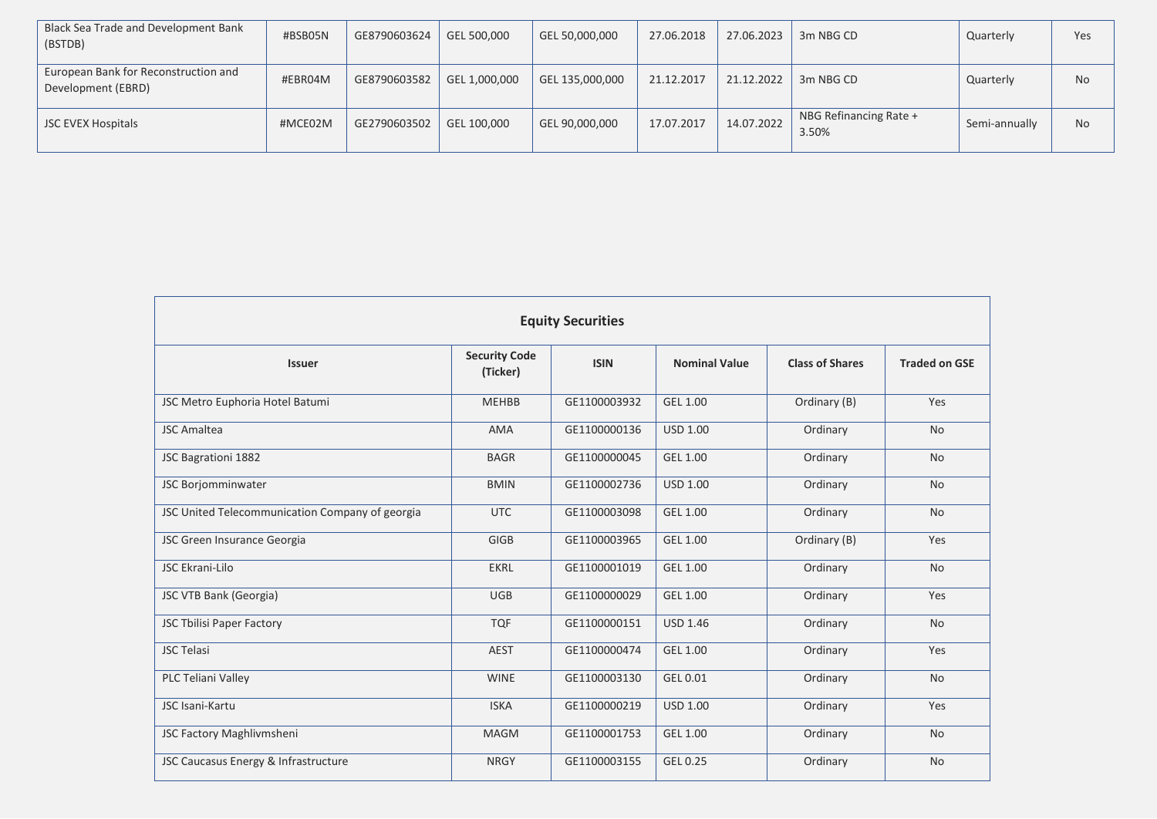| Black Sea Trade and Development Bank<br>(BSTDB)            | #BSB05N | GE8790603624 | GEL 500,000   | GEL 50,000,000  | 27.06.2018 | 27.06.2023 | 3m NBG CD                       | Quarterly     | Yes       |
|------------------------------------------------------------|---------|--------------|---------------|-----------------|------------|------------|---------------------------------|---------------|-----------|
| European Bank for Reconstruction and<br>Development (EBRD) | #EBR04M | GE8790603582 | GEL 1,000,000 | GEL 135,000,000 | 21.12.2017 | 21.12.2022 | 3m NBG CD                       | Quarterly     | <b>No</b> |
| <b>JSC EVEX Hospitals</b>                                  | #MCE02M | GE2790603502 | GEL 100,000   | GEL 90,000,000  | 17.07.2017 | 14.07.2022 | NBG Refinancing Rate +<br>3.50% | Semi-annually | <b>No</b> |

| <b>Equity Securities</b>                        |                                  |              |                      |                        |                      |  |  |  |  |
|-------------------------------------------------|----------------------------------|--------------|----------------------|------------------------|----------------------|--|--|--|--|
| <b>Issuer</b>                                   | <b>Security Code</b><br>(Ticker) | <b>ISIN</b>  | <b>Nominal Value</b> | <b>Class of Shares</b> | <b>Traded on GSE</b> |  |  |  |  |
| JSC Metro Euphoria Hotel Batumi                 | <b>MEHBB</b>                     | GE1100003932 | GEL 1.00             | Ordinary (B)           | Yes                  |  |  |  |  |
| <b>JSC Amaltea</b>                              | <b>AMA</b>                       | GE1100000136 | <b>USD 1.00</b>      | Ordinary               | <b>No</b>            |  |  |  |  |
| JSC Bagrationi 1882                             | <b>BAGR</b>                      | GE1100000045 | GEL 1.00             | Ordinary               | <b>No</b>            |  |  |  |  |
| JSC Borjomminwater                              | <b>BMIN</b>                      | GE1100002736 | <b>USD 1.00</b>      | Ordinary               | <b>No</b>            |  |  |  |  |
| JSC United Telecommunication Company of georgia | <b>UTC</b>                       | GE1100003098 | GEL 1.00             | Ordinary               | <b>No</b>            |  |  |  |  |
| JSC Green Insurance Georgia                     | <b>GIGB</b>                      | GE1100003965 | GEL 1.00             | Ordinary (B)           | Yes                  |  |  |  |  |
| <b>JSC Ekrani-Lilo</b>                          | <b>EKRL</b>                      | GE1100001019 | GEL 1.00             | Ordinary               | <b>No</b>            |  |  |  |  |
| <b>JSC VTB Bank (Georgia)</b>                   | <b>UGB</b>                       | GE1100000029 | GEL 1.00             | Ordinary               | Yes                  |  |  |  |  |
| <b>JSC Tbilisi Paper Factory</b>                | <b>TQF</b>                       | GE1100000151 | <b>USD 1.46</b>      | Ordinary               | <b>No</b>            |  |  |  |  |
| <b>JSC Telasi</b>                               | <b>AEST</b>                      | GE1100000474 | GEL 1.00             | Ordinary               | Yes                  |  |  |  |  |
| PLC Teliani Valley                              | <b>WINE</b>                      | GE1100003130 | GEL 0.01             | Ordinary               | <b>No</b>            |  |  |  |  |
| JSC Isani-Kartu                                 | <b>ISKA</b>                      | GE1100000219 | <b>USD 1.00</b>      | Ordinary               | Yes                  |  |  |  |  |
| JSC Factory Maghlivmsheni                       | <b>MAGM</b>                      | GE1100001753 | GEL 1.00             | Ordinary               | <b>No</b>            |  |  |  |  |
| JSC Caucasus Energy & Infrastructure            | <b>NRGY</b>                      | GE1100003155 | GEL 0.25             | Ordinary               | <b>No</b>            |  |  |  |  |